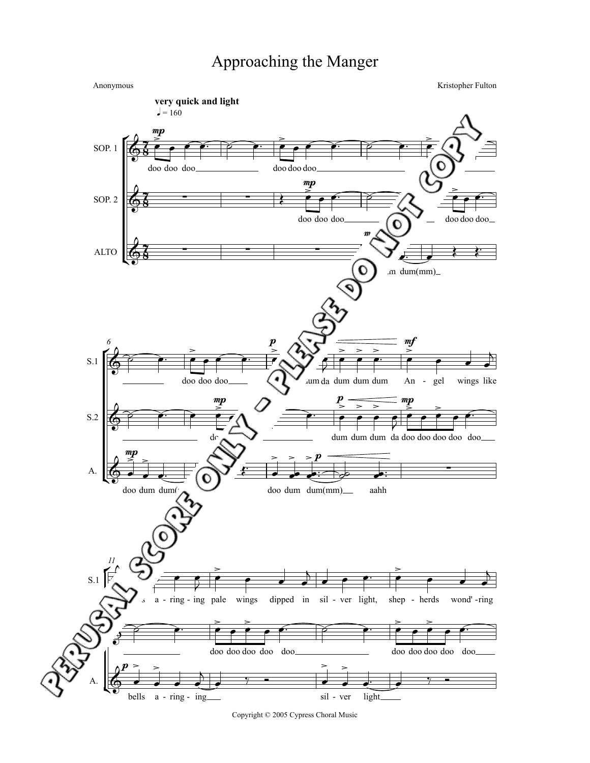## Approaching the Manger



Copyright © 2005 Cypress Choral Music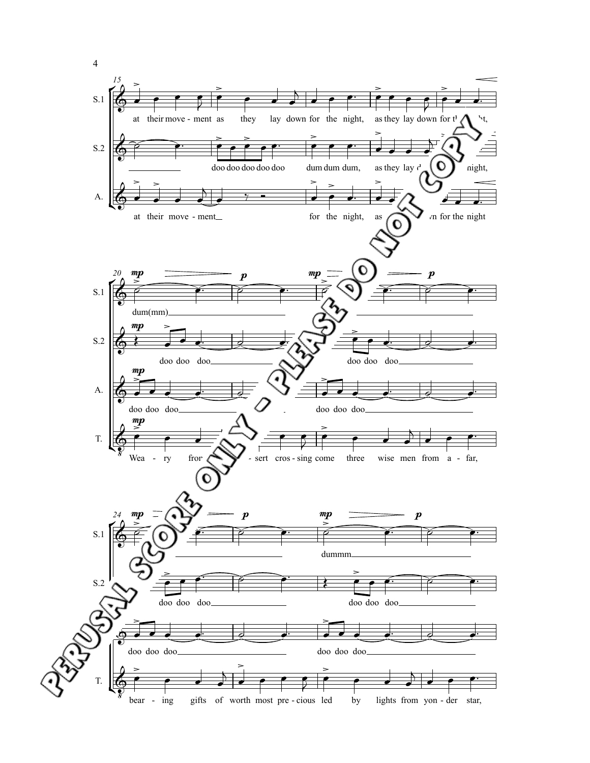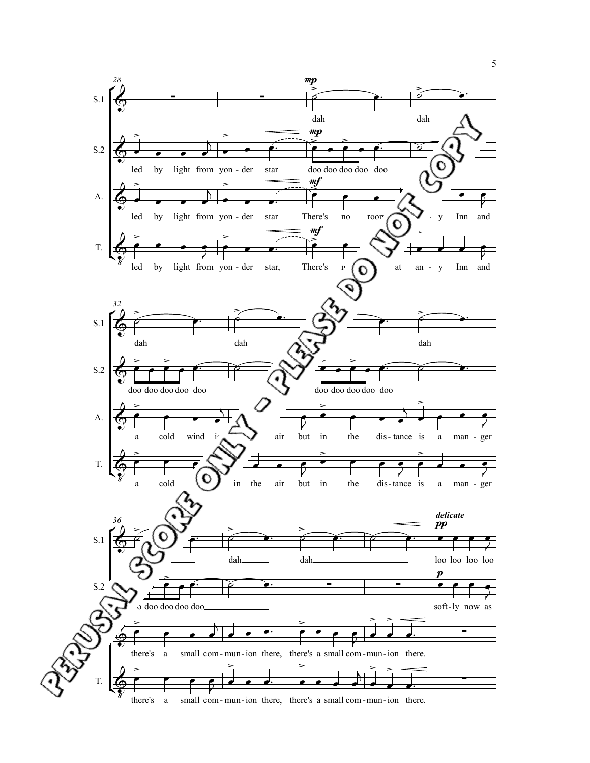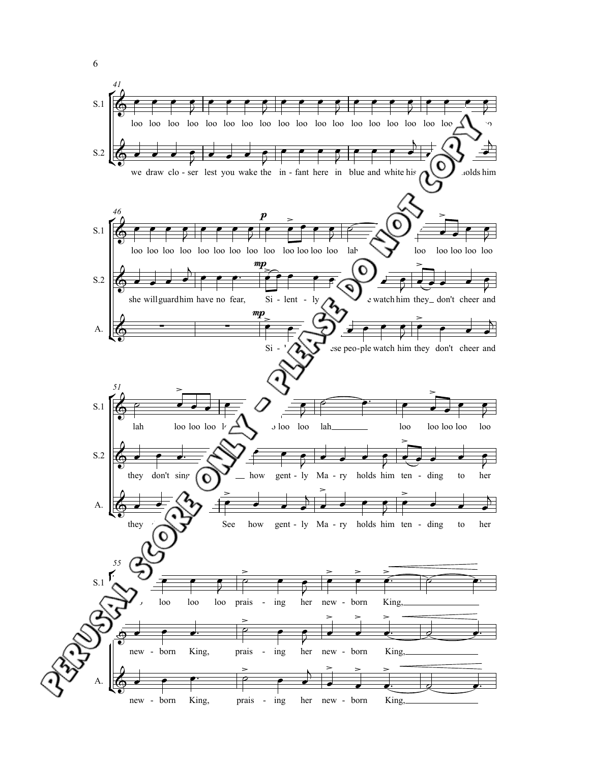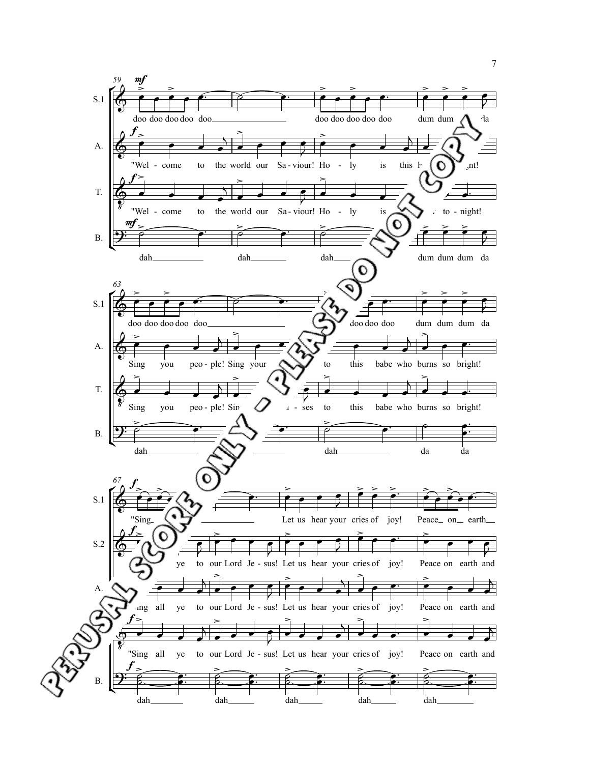